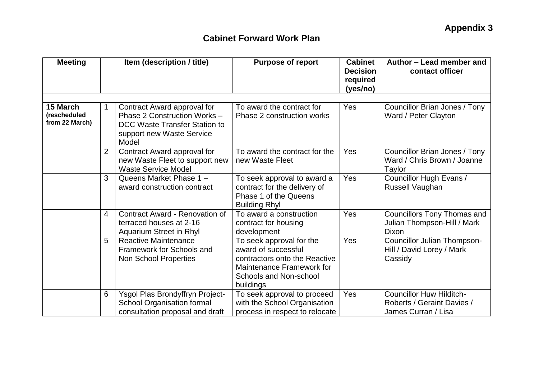| <b>Meeting</b>                             | Item (description / title) |                                                                                                                                    | <b>Purpose of report</b>                                                                                                                                    | <b>Cabinet</b><br><b>Decision</b><br>required<br>(yes/no) | Author - Lead member and<br>contact officer                                          |  |
|--------------------------------------------|----------------------------|------------------------------------------------------------------------------------------------------------------------------------|-------------------------------------------------------------------------------------------------------------------------------------------------------------|-----------------------------------------------------------|--------------------------------------------------------------------------------------|--|
| 15 March<br>(rescheduled<br>from 22 March) | 1                          | Contract Award approval for<br>Phase 2 Construction Works -<br>DCC Waste Transfer Station to<br>support new Waste Service<br>Model | To award the contract for<br>Phase 2 construction works                                                                                                     | Yes                                                       | Councillor Brian Jones / Tony<br>Ward / Peter Clayton                                |  |
|                                            | 2                          | Contract Award approval for<br>new Waste Fleet to support new<br><b>Waste Service Model</b>                                        | To award the contract for the<br>new Waste Fleet                                                                                                            | Yes                                                       | Councillor Brian Jones / Tony<br>Ward / Chris Brown / Joanne<br>Taylor               |  |
|                                            | 3                          | Queens Market Phase 1 -<br>award construction contract                                                                             | To seek approval to award a<br>contract for the delivery of<br>Phase 1 of the Queens<br><b>Building Rhyl</b>                                                | Yes                                                       | Councillor Hugh Evans /<br>Russell Vaughan                                           |  |
|                                            | 4                          | <b>Contract Award - Renovation of</b><br>terraced houses at 2-16<br>Aquarium Street in Rhyl                                        | To award a construction<br>contract for housing<br>development                                                                                              | Yes                                                       | <b>Councillors Tony Thomas and</b><br>Julian Thompson-Hill / Mark<br>Dixon           |  |
|                                            | 5                          | <b>Reactive Maintenance</b><br>Framework for Schools and<br><b>Non School Properties</b>                                           | To seek approval for the<br>award of successful<br>contractors onto the Reactive<br>Maintenance Framework for<br><b>Schools and Non-school</b><br>buildings | Yes                                                       | Councillor Julian Thompson-<br>Hill / David Lorey / Mark<br>Cassidy                  |  |
|                                            | 6                          | Ysgol Plas Brondyffryn Project-<br><b>School Organisation formal</b><br>consultation proposal and draft                            | To seek approval to proceed<br>with the School Organisation<br>process in respect to relocate                                                               | Yes                                                       | <b>Councillor Huw Hilditch-</b><br>Roberts / Geraint Davies /<br>James Curran / Lisa |  |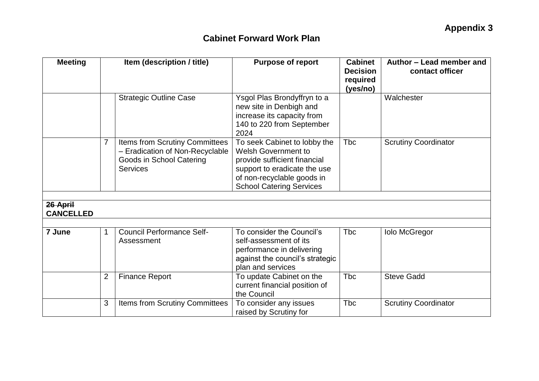| <b>Meeting</b>               | Item (description / title) |                                                                                                                  | <b>Purpose of report</b>                                                                                                                                                                    | <b>Cabinet</b><br><b>Decision</b><br>required | Author - Lead member and<br>contact officer |  |
|------------------------------|----------------------------|------------------------------------------------------------------------------------------------------------------|---------------------------------------------------------------------------------------------------------------------------------------------------------------------------------------------|-----------------------------------------------|---------------------------------------------|--|
|                              |                            |                                                                                                                  |                                                                                                                                                                                             | (yes/no)                                      |                                             |  |
|                              |                            | <b>Strategic Outline Case</b>                                                                                    | Ysgol Plas Brondyffryn to a<br>new site in Denbigh and<br>increase its capacity from<br>140 to 220 from September<br>2024                                                                   |                                               | Walchester                                  |  |
|                              | 7                          | Items from Scrutiny Committees<br>- Eradication of Non-Recyclable<br>Goods in School Catering<br><b>Services</b> | To seek Cabinet to lobby the<br><b>Welsh Government to</b><br>provide sufficient financial<br>support to eradicate the use<br>of non-recyclable goods in<br><b>School Catering Services</b> | <b>Tbc</b>                                    | <b>Scrutiny Coordinator</b>                 |  |
|                              |                            |                                                                                                                  |                                                                                                                                                                                             |                                               |                                             |  |
| 26 April<br><b>CANCELLED</b> |                            |                                                                                                                  |                                                                                                                                                                                             |                                               |                                             |  |
| 7 June                       | 1                          | <b>Council Performance Self-</b><br>Assessment                                                                   | To consider the Council's<br>self-assessment of its<br>performance in delivering<br>against the council's strategic<br>plan and services                                                    | <b>Tbc</b>                                    | <b>Iolo McGregor</b>                        |  |
|                              | $\overline{2}$             | <b>Finance Report</b>                                                                                            | To update Cabinet on the<br>current financial position of<br>the Council                                                                                                                    | <b>T</b> bc                                   | <b>Steve Gadd</b>                           |  |
|                              | 3                          | Items from Scrutiny Committees                                                                                   | To consider any issues<br>raised by Scrutiny for                                                                                                                                            | <b>Tbc</b>                                    | <b>Scrutiny Coordinator</b>                 |  |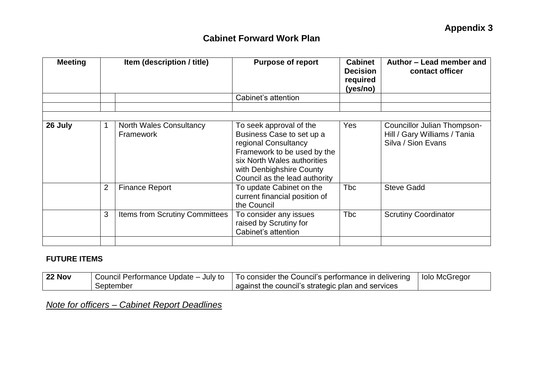| <b>Meeting</b> |                | Item (description / title)                  | <b>Purpose of report</b>                                                                                                                                                                                | <b>Cabinet</b><br><b>Decision</b><br>required<br>(yes/no) | Author – Lead member and<br>contact officer                                       |  |
|----------------|----------------|---------------------------------------------|---------------------------------------------------------------------------------------------------------------------------------------------------------------------------------------------------------|-----------------------------------------------------------|-----------------------------------------------------------------------------------|--|
|                |                |                                             | Cabinet's attention                                                                                                                                                                                     |                                                           |                                                                                   |  |
|                |                |                                             |                                                                                                                                                                                                         |                                                           |                                                                                   |  |
| 26 July        |                | <b>North Wales Consultancy</b><br>Framework | To seek approval of the<br>Business Case to set up a<br>regional Consultancy<br>Framework to be used by the<br>six North Wales authorities<br>with Denbighshire County<br>Council as the lead authority | Yes                                                       | Councillor Julian Thompson-<br>Hill / Gary Williams / Tania<br>Silva / Sion Evans |  |
|                | $\overline{2}$ | <b>Finance Report</b>                       | To update Cabinet on the<br>current financial position of<br>the Council                                                                                                                                | <b>T</b> bc                                               | <b>Steve Gadd</b>                                                                 |  |
|                | 3              | <b>Items from Scrutiny Committees</b>       | To consider any issues<br>raised by Scrutiny for<br>Cabinet's attention                                                                                                                                 | <b>T</b> bc                                               | <b>Scrutiny Coordinator</b>                                                       |  |

#### **FUTURE ITEMS**

| 22 Nov |           | $\mid$ Council Performance Update – July to $\mid$ To consider the Council's performance in delivering | l Iolo McGregor |
|--------|-----------|--------------------------------------------------------------------------------------------------------|-----------------|
|        | September | against the council's strategic plan and services                                                      |                 |

*Note for officers – Cabinet Report Deadlines*